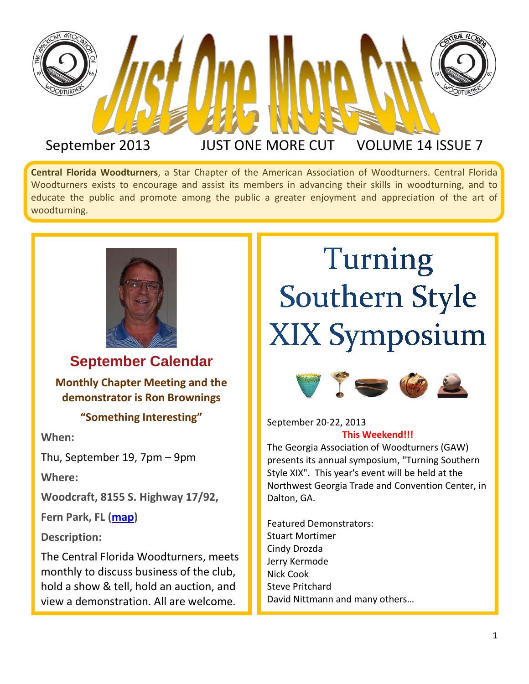

September 2013 JUST ONE MORE CUT VOLUME 14 ISSUE 7

**Central Florida Woodturners**, a Star Chapter of the American Association of Woodturners. Central Florida Woodturners exists to encourage and assist its members in advancing their skills in woodturning, and to educate the public and promote among the public a greater enjoyment and appreciation of the art of woodturning.



**September Calendar**

**Monthly Chapter Meeting and the demonstrator is Ron Brownings**

**"Something Interesting"**

**When:**

Thu, September 19, 7pm – 9pm

**Where:**

**Woodcraft, 8155 S. Highway 17/92,** 

**Fern Park, FL [\(map\)](https://maps.google.com/maps?hl=en&q=Woodcraft,+8155+S.+Highway+17/92,+Fern+Park,+FL)**

**Description:**

The Central Florida Woodturners, meets monthly to discuss business of the club, hold a show & tell, hold an auction, and view a demonstration. All are welcome.

### Turning **Southern Style XIX Symposium**



September 20-22, 2013 **This Weekend!!!**

The Georgia Association of Woodturners (GAW) presents its annual symposium, "Turning Southern Style XIX". This year's event will be held at the Northwest Georgia Trade and Convention Center, in Dalton, GA.

Featured Demonstrators: Stuart Mortimer Cindy Drozda Jerry Kermode Nick Cook Steve Pritchard David Nittmann and many others…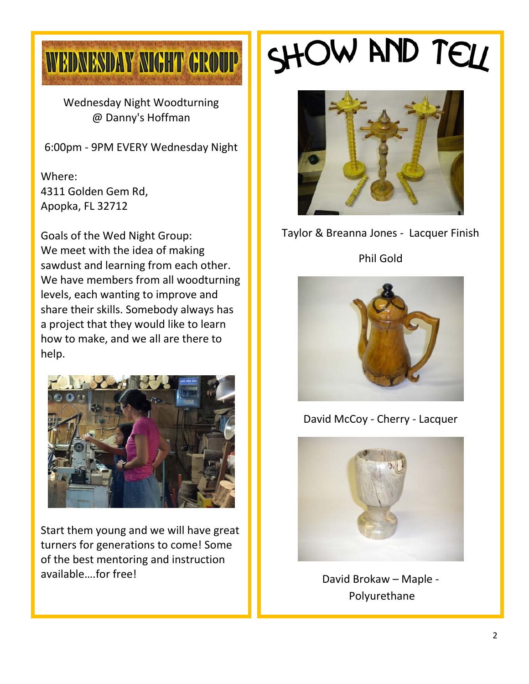

Wednesday Night Woodturning @ Danny's Hoffman

6:00pm - 9PM EVERY Wednesday Night

Where: 4311 Golden Gem Rd, Apopka, FL 32712

Goals of the Wed Night Group: We meet with the idea of making sawdust and learning from each other. We have members from all woodturning levels, each wanting to improve and share their skills. Somebody always has a project that they would like to learn how to make, and we all are there to help.



Start them young and we will have great turners for generations to come! Some of the best mentoring and instruction available….for free!

## SHOW AND TELL



Taylor & Breanna Jones - Lacquer Finish

Phil Gold



David McCoy - Cherry - Lacquer



David Brokaw – Maple - Polyurethane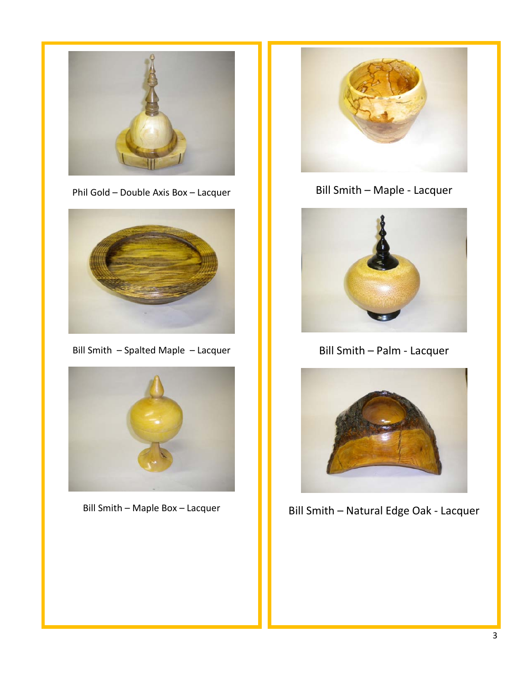

Phil Gold – Double Axis Box – Lacquer



Bill Smith – Spalted Maple – Lacquer



Bill Smith – Maple Box – Lacquer



Bill Smith – Maple - Lacquer



Bill Smith – Palm - Lacquer



Bill Smith – Natural Edge Oak - Lacquer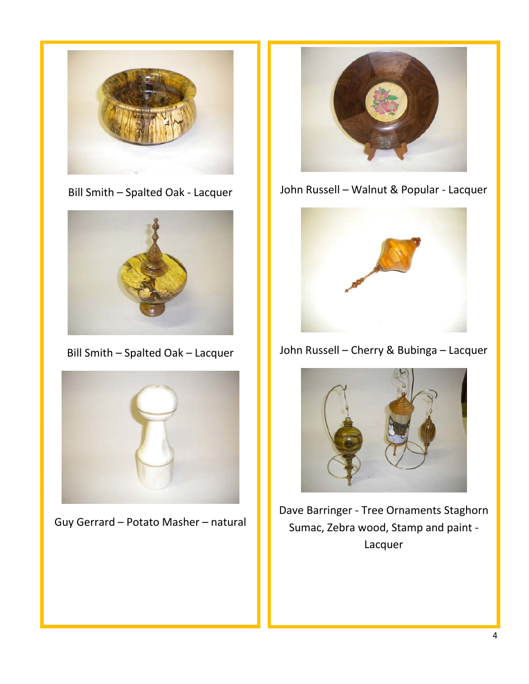

Bill Smith – Spalted Oak - Lacquer



Bill Smith – Spalted Oak – Lacquer



Guy Gerrard – Potato Masher – natural



John Russell – Walnut & Popular - Lacquer



John Russell – Cherry & Bubinga – Lacquer



Dave Barringer - Tree Ornaments Staghorn Sumac, Zebra wood, Stamp and paint - Lacquer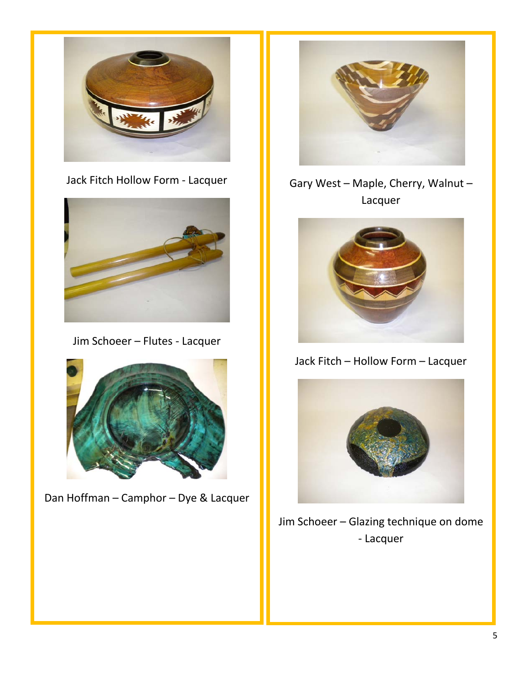

Jack Fitch Hollow Form - Lacquer



Jim Schoeer – Flutes - Lacquer



Dan Hoffman – Camphor – Dye & Lacquer



Gary West – Maple, Cherry, Walnut – Lacquer



Jack Fitch – Hollow Form – Lacquer



Jim Schoeer – Glazing technique on dome - Lacquer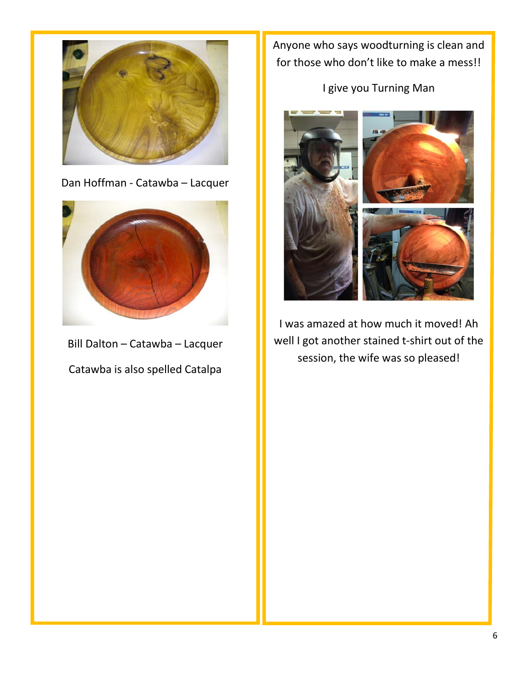

Dan Hoffman - Catawba – Lacquer



Bill Dalton – Catawba – Lacquer Catawba is also spelled Catalpa

Anyone who says woodturning is clean and for those who don't like to make a mess!!

I give you Turning Man



I was amazed at how much it moved! Ah well I got another stained t-shirt out of the session, the wife was so pleased!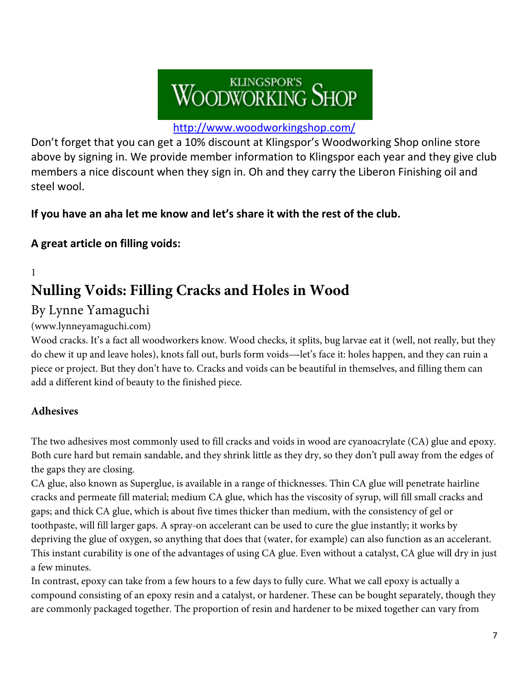# WOODWORKING SHOP

#### <http://www.woodworkingshop.com/>

Don't forget that you can get a 10% discount at Klingspor's Woodworking Shop online store above by signing in. We provide member information to Klingspor each year and they give club members a nice discount when they sign in. Oh and they carry the Liberon Finishing oil and steel wool.

#### **If you have an aha let me know and let's share it with the rest of the club.**

#### **A great article on filling voids:**

1

### **Nulling Voids: Filling Cracks and Holes in Wood**

### By Lynne Yamaguchi

#### (www.lynneyamaguchi.com)

Wood cracks. It's a fact all woodworkers know. Wood checks, it splits, bug larvae eat it (well, not really, but they do chew it up and leave holes), knots fall out, burls form voids—let's face it: holes happen, and they can ruin a piece or project. But they don't have to. Cracks and voids can be beautiful in themselves, and filling them can add a different kind of beauty to the finished piece.

#### **Adhesives**

The two adhesives most commonly used to fill cracks and voids in wood are cyanoacrylate (CA) glue and epoxy. Both cure hard but remain sandable, and they shrink little as they dry, so they don't pull away from the edges of the gaps they are closing.

CA glue, also known as Superglue, is available in a range of thicknesses. Thin CA glue will penetrate hairline cracks and permeate fill material; medium CA glue, which has the viscosity of syrup, will fill small cracks and gaps; and thick CA glue, which is about five times thicker than medium, with the consistency of gel or toothpaste, will fill larger gaps. A spray-on accelerant can be used to cure the glue instantly; it works by depriving the glue of oxygen, so anything that does that (water, for example) can also function as an accelerant. This instant curability is one of the advantages of using CA glue. Even without a catalyst, CA glue will dry in just a few minutes.

In contrast, epoxy can take from a few hours to a few days to fully cure. What we call epoxy is actually a compound consisting of an epoxy resin and a catalyst, or hardener. These can be bought separately, though they are commonly packaged together. The proportion of resin and hardener to be mixed together can vary from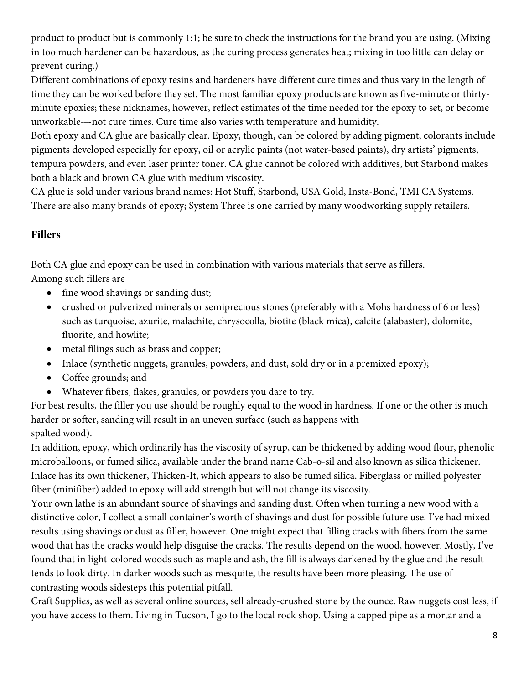product to product but is commonly 1:1; be sure to check the instructions for the brand you are using. (Mixing in too much hardener can be hazardous, as the curing process generates heat; mixing in too little can delay or prevent curing.)

Different combinations of epoxy resins and hardeners have different cure times and thus vary in the length of time they can be worked before they set. The most familiar epoxy products are known as five-minute or thirtyminute epoxies; these nicknames, however, reflect estimates of the time needed for the epoxy to set, or become unworkable---not cure times. Cure time also varies with temperature and humidity.

Both epoxy and CA glue are basically clear. Epoxy, though, can be colored by adding pigment; colorants include pigments developed especially for epoxy, oil or acrylic paints (not water-based paints), dry artists' pigments, tempura powders, and even laser printer toner. CA glue cannot be colored with additives, but Starbond makes both a black and brown CA glue with medium viscosity.

CA glue is sold under various brand names: Hot Stuff, Starbond, USA Gold, Insta-Bond, TMI CA Systems. There are also many brands of epoxy; System Three is one carried by many woodworking supply retailers.

#### **Fillers**

Both CA glue and epoxy can be used in combination with various materials that serve as fillers. Among such fillers are

- fine wood shavings or sanding dust;
- crushed or pulverized minerals or semiprecious stones (preferably with a Mohs hardness of 6 or less) such as turquoise, azurite, malachite, chrysocolla, biotite (black mica), calcite (alabaster), dolomite, fluorite, and howlite;
- metal filings such as brass and copper;
- Inlace (synthetic nuggets, granules, powders, and dust, sold dry or in a premixed epoxy);
- Coffee grounds; and
- Whatever fibers, flakes, granules, or powders you dare to try.

For best results, the filler you use should be roughly equal to the wood in hardness. If one or the other is much harder or softer, sanding will result in an uneven surface (such as happens with spalted wood).

In addition, epoxy, which ordinarily has the viscosity of syrup, can be thickened by adding wood flour, phenolic microballoons, or fumed silica, available under the brand name Cab-o-sil and also known as silica thickener. Inlace has its own thickener, Thicken-It, which appears to also be fumed silica. Fiberglass or milled polyester fiber (minifiber) added to epoxy will add strength but will not change its viscosity.

Your own lathe is an abundant source of shavings and sanding dust. Often when turning a new wood with a distinctive color, I collect a small container's worth of shavings and dust for possible future use. I've had mixed results using shavings or dust as filler, however. One might expect that filling cracks with fibers from the same wood that has the cracks would help disguise the cracks. The results depend on the wood, however. Mostly, I've found that in light-colored woods such as maple and ash, the fill is always darkened by the glue and the result tends to look dirty. In darker woods such as mesquite, the results have been more pleasing. The use of contrasting woods sidesteps this potential pitfall.

Craft Supplies, as well as several online sources, sell already-crushed stone by the ounce. Raw nuggets cost less, if you have access to them. Living in Tucson, I go to the local rock shop. Using a capped pipe as a mortar and a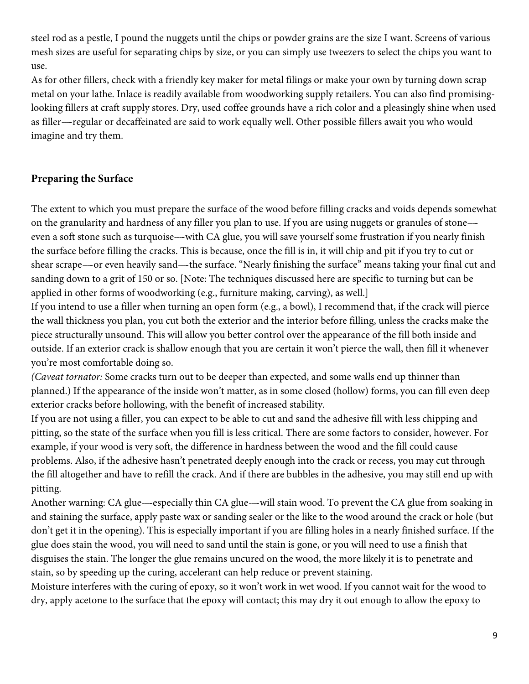steel rod as a pestle, I pound the nuggets until the chips or powder grains are the size I want. Screens of various mesh sizes are useful for separating chips by size, or you can simply use tweezers to select the chips you want to use.

As for other fillers, check with a friendly key maker for metal filings or make your own by turning down scrap metal on your lathe. Inlace is readily available from woodworking supply retailers. You can also find promisinglooking fillers at craft supply stores. Dry, used coffee grounds have a rich color and a pleasingly shine when used as filler---regular or decaffeinated are said to work equally well. Other possible fillers await you who would imagine and try them.

#### **Preparing the Surface**

The extent to which you must prepare the surface of the wood before filling cracks and voids depends somewhat on the granularity and hardness of any filler you plan to use. If you are using nuggets or granules of stone--- even a soft stone such as turquoise—with CA glue, you will save yourself some frustration if you nearly finish the surface before filling the cracks. This is because, once the fill is in, it will chip and pit if you try to cut or shear scrape----or even heavily sand----the surface. "Nearly finishing the surface" means taking your final cut and sanding down to a grit of 150 or so. [Note: The techniques discussed here are specific to turning but can be applied in other forms of woodworking (e.g., furniture making, carving), as well.]

If you intend to use a filler when turning an open form (e.g., a bowl), I recommend that, if the crack will pierce the wall thickness you plan, you cut both the exterior and the interior before filling, unless the cracks make the piece structurally unsound. This will allow you better control over the appearance of the fill both inside and outside. If an exterior crack is shallow enough that you are certain it won't pierce the wall, then fill it whenever you're most comfortable doing so.

*(Caveat tornator:* Some cracks turn out to be deeper than expected, and some walls end up thinner than planned.) If the appearance of the inside won't matter, as in some closed (hollow) forms, you can fill even deep exterior cracks before hollowing, with the benefit of increased stability.

If you are not using a filler, you can expect to be able to cut and sand the adhesive fill with less chipping and pitting, so the state of the surface when you fill is less critical. There are some factors to consider, however. For example, if your wood is very soft, the difference in hardness between the wood and the fill could cause problems. Also, if the adhesive hasn't penetrated deeply enough into the crack or recess, you may cut through the fill altogether and have to refill the crack. And if there are bubbles in the adhesive, you may still end up with pitting.

Another warning: CA glue---especially thin CA glue---will stain wood. To prevent the CA glue from soaking in and staining the surface, apply paste wax or sanding sealer or the like to the wood around the crack or hole (but don't get it in the opening). This is especially important if you are filling holes in a nearly finished surface. If the glue does stain the wood, you will need to sand until the stain is gone, or you will need to use a finish that disguises the stain. The longer the glue remains uncured on the wood, the more likely it is to penetrate and stain, so by speeding up the curing, accelerant can help reduce or prevent staining.

Moisture interferes with the curing of epoxy, so it won't work in wet wood. If you cannot wait for the wood to dry, apply acetone to the surface that the epoxy will contact; this may dry it out enough to allow the epoxy to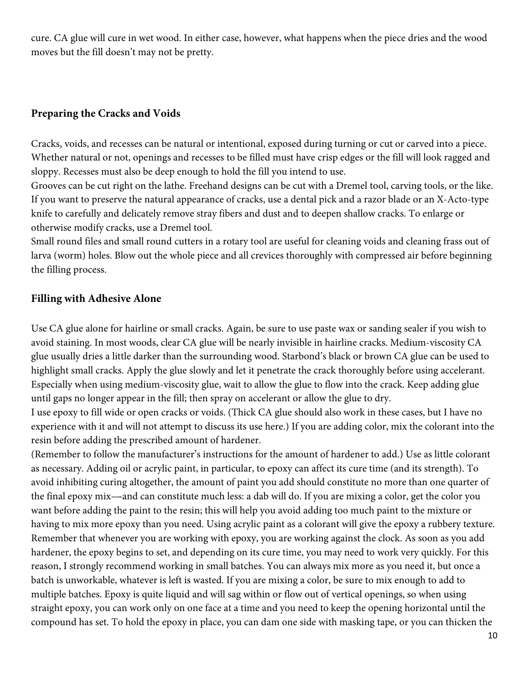cure. CA glue will cure in wet wood. In either case, however, what happens when the piece dries and the wood moves but the fill doesn't may not be pretty.

#### **Preparing the Cracks and Voids**

Cracks, voids, and recesses can be natural or intentional, exposed during turning or cut or carved into a piece. Whether natural or not, openings and recesses to be filled must have crisp edges or the fill will look ragged and sloppy. Recesses must also be deep enough to hold the fill you intend to use.

Grooves can be cut right on the lathe. Freehand designs can be cut with a Dremel tool, carving tools, or the like. If you want to preserve the natural appearance of cracks, use a dental pick and a razor blade or an X-Acto-type knife to carefully and delicately remove stray fibers and dust and to deepen shallow cracks. To enlarge or otherwise modify cracks, use a Dremel tool.

Small round files and small round cutters in a rotary tool are useful for cleaning voids and cleaning frass out of larva (worm) holes. Blow out the whole piece and all crevices thoroughly with compressed air before beginning the filling process.

#### **Filling with Adhesive Alone**

Use CA glue alone for hairline or small cracks. Again, be sure to use paste wax or sanding sealer if you wish to avoid staining. In most woods, clear CA glue will be nearly invisible in hairline cracks. Medium-viscosity CA glue usually dries a little darker than the surrounding wood. Starbond's black or brown CA glue can be used to highlight small cracks. Apply the glue slowly and let it penetrate the crack thoroughly before using accelerant. Especially when using medium-viscosity glue, wait to allow the glue to flow into the crack. Keep adding glue until gaps no longer appear in the fill; then spray on accelerant or allow the glue to dry.

I use epoxy to fill wide or open cracks or voids. (Thick CA glue should also work in these cases, but I have no experience with it and will not attempt to discuss its use here.) If you are adding color, mix the colorant into the resin before adding the prescribed amount of hardener.

(Remember to follow the manufacturer's instructions for the amount of hardener to add.) Use as little colorant as necessary. Adding oil or acrylic paint, in particular, to epoxy can affect its cure time (and its strength). To avoid inhibiting curing altogether, the amount of paint you add should constitute no more than one quarter of the final epoxy mix---and can constitute much less: a dab will do. If you are mixing a color, get the color you want before adding the paint to the resin; this will help you avoid adding too much paint to the mixture or having to mix more epoxy than you need. Using acrylic paint as a colorant will give the epoxy a rubbery texture. Remember that whenever you are working with epoxy, you are working against the clock. As soon as you add hardener, the epoxy begins to set, and depending on its cure time, you may need to work very quickly. For this reason, I strongly recommend working in small batches. You can always mix more as you need it, but once a batch is unworkable, whatever is left is wasted. If you are mixing a color, be sure to mix enough to add to multiple batches. Epoxy is quite liquid and will sag within or flow out of vertical openings, so when using straight epoxy, you can work only on one face at a time and you need to keep the opening horizontal until the compound has set. To hold the epoxy in place, you can dam one side with masking tape, or you can thicken the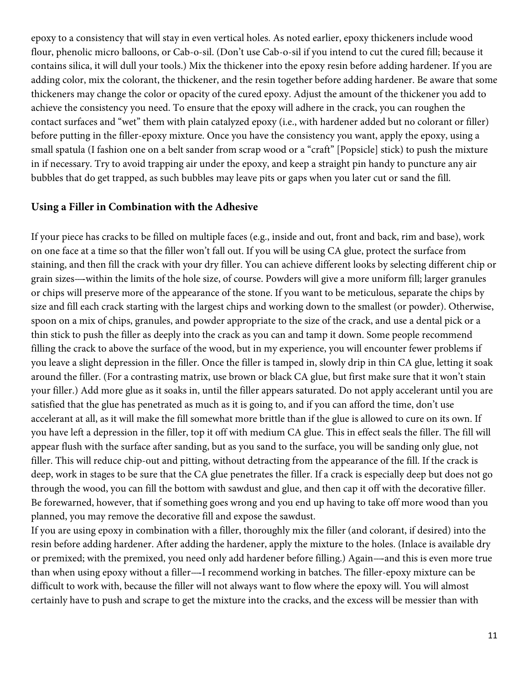epoxy to a consistency that will stay in even vertical holes. As noted earlier, epoxy thickeners include wood flour, phenolic micro balloons, or Cab-o-sil. (Don't use Cab-o-sil if you intend to cut the cured fill; because it contains silica, it will dull your tools.) Mix the thickener into the epoxy resin before adding hardener. If you are adding color, mix the colorant, the thickener, and the resin together before adding hardener. Be aware that some thickeners may change the color or opacity of the cured epoxy. Adjust the amount of the thickener you add to achieve the consistency you need. To ensure that the epoxy will adhere in the crack, you can roughen the contact surfaces and ''wet'' them with plain catalyzed epoxy (i.e., with hardener added but no colorant or filler) before putting in the filler-epoxy mixture. Once you have the consistency you want, apply the epoxy, using a small spatula (I fashion one on a belt sander from scrap wood or a "craft" [Popsicle] stick) to push the mixture in if necessary. Try to avoid trapping air under the epoxy, and keep a straight pin handy to puncture any air bubbles that do get trapped, as such bubbles may leave pits or gaps when you later cut or sand the fill.

#### **Using a Filler in Combination with the Adhesive**

If your piece has cracks to be filled on multiple faces (e.g., inside and out, front and back, rim and base), work on one face at a time so that the filler won't fall out. If you will be using CA glue, protect the surface from staining, and then fill the crack with your dry filler. You can achieve different looks by selecting different chip or grain sizes—within the limits of the hole size, of course. Powders will give a more uniform fill; larger granules or chips will preserve more of the appearance of the stone. If you want to be meticulous, separate the chips by size and fill each crack starting with the largest chips and working down to the smallest (or powder). Otherwise, spoon on a mix of chips, granules, and powder appropriate to the size of the crack, and use a dental pick or a thin stick to push the filler as deeply into the crack as you can and tamp it down. Some people recommend filling the crack to above the surface of the wood, but in my experience, you will encounter fewer problems if you leave a slight depression in the filler. Once the filler is tamped in, slowly drip in thin CA glue, letting it soak around the filler. (For a contrasting matrix, use brown or black CA glue, but first make sure that it won't stain your filler.) Add more glue as it soaks in, until the filler appears saturated. Do not apply accelerant until you are satisfied that the glue has penetrated as much as it is going to, and if you can afford the time, don't use accelerant at all, as it will make the fill somewhat more brittle than if the glue is allowed to cure on its own. If you have left a depression in the filler, top it off with medium CA glue. This in effect seals the filler. The fill will appear flush with the surface after sanding, but as you sand to the surface, you will be sanding only glue, not filler. This will reduce chip-out and pitting, without detracting from the appearance of the fill. If the crack is deep, work in stages to be sure that the CA glue penetrates the filler. If a crack is especially deep but does not go through the wood, you can fill the bottom with sawdust and glue, and then cap it off with the decorative filler. Be forewarned, however, that if something goes wrong and you end up having to take off more wood than you planned, you may remove the decorative fill and expose the sawdust.

If you are using epoxy in combination with a filler, thoroughly mix the filler (and colorant, if desired) into the resin before adding hardener. After adding the hardener, apply the mixture to the holes. (Inlace is available dry or premixed; with the premixed, you need only add hardener before filling.) Again—and this is even more true than when using epoxy without a filler---I recommend working in batches. The filler-epoxy mixture can be difficult to work with, because the filler will not always want to flow where the epoxy will. You will almost certainly have to push and scrape to get the mixture into the cracks, and the excess will be messier than with